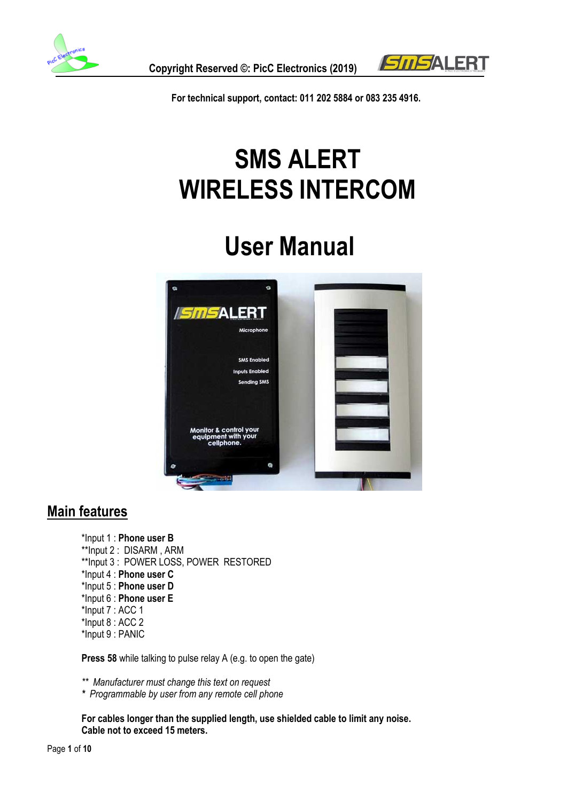



**For technical support, contact: 011 202 5884 or 083 235 4916.**

# **SMS ALERT WIRELESS INTERCOM**

# **User Manual**



## **Main features**

\*Input 1 : **Phone user B** \*\*Input 2 : DISARM , ARM \*\*Input 3 : POWER LOSS, POWER RESTORED \*Input 4 : **Phone user C** \*Input 5 : **Phone user D** \*Input 6 : **Phone user E** \*Input 7 : ACC 1 \*Input 8 : ACC 2 \*Input 9 : PANIC

**Press 58** while talking to pulse relay A (e.g. to open the gate)

*\*\* Manufacturer must change this text on request* 

*\* Programmable by user from any remote cell phone*

**For cables longer than the supplied length, use shielded cable to limit any noise. Cable not to exceed 15 meters.**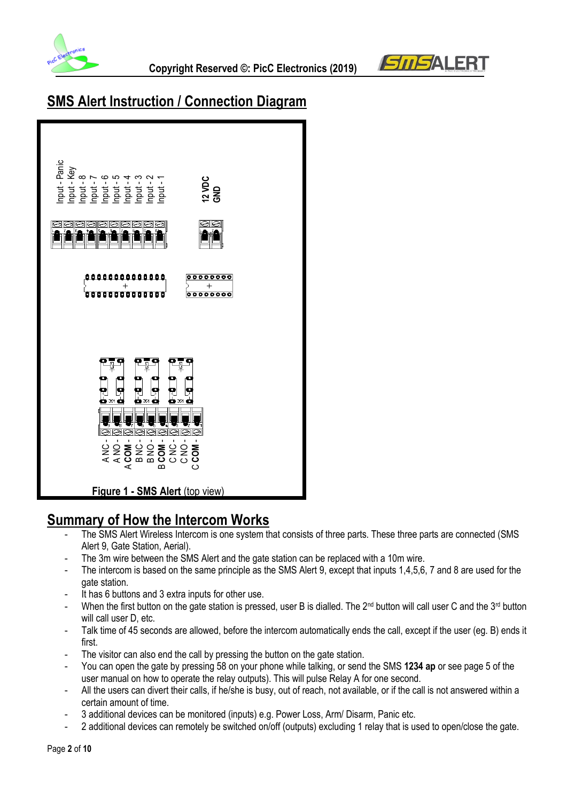



# **SMS Alert Instruction / Connection Diagram**



## **Summary of How the Intercom Works**

- The SMS Alert Wireless Intercom is one system that consists of three parts. These three parts are connected (SMS Alert 9, Gate Station, Aerial).
- The 3m wire between the SMS Alert and the gate station can be replaced with a 10m wire.
- The intercom is based on the same principle as the SMS Alert 9, except that inputs 1,4,5,6, 7 and 8 are used for the gate station.
- It has 6 buttons and 3 extra inputs for other use.
- When the first button on the gate station is pressed, user B is dialled. The 2<sup>nd</sup> button will call user C and the 3<sup>rd</sup> button will call user D, etc.
- Talk time of 45 seconds are allowed, before the intercom automatically ends the call, except if the user (eq. B) ends it first.
- The visitor can also end the call by pressing the button on the gate station.
- You can open the gate by pressing 58 on your phone while talking, or send the SMS **1234 ap** or see page 5 of the user manual on how to operate the relay outputs). This will pulse Relay A for one second.
- All the users can divert their calls, if he/she is busy, out of reach, not available, or if the call is not answered within a certain amount of time.
- 3 additional devices can be monitored (inputs) e.g. Power Loss, Arm/ Disarm, Panic etc.
-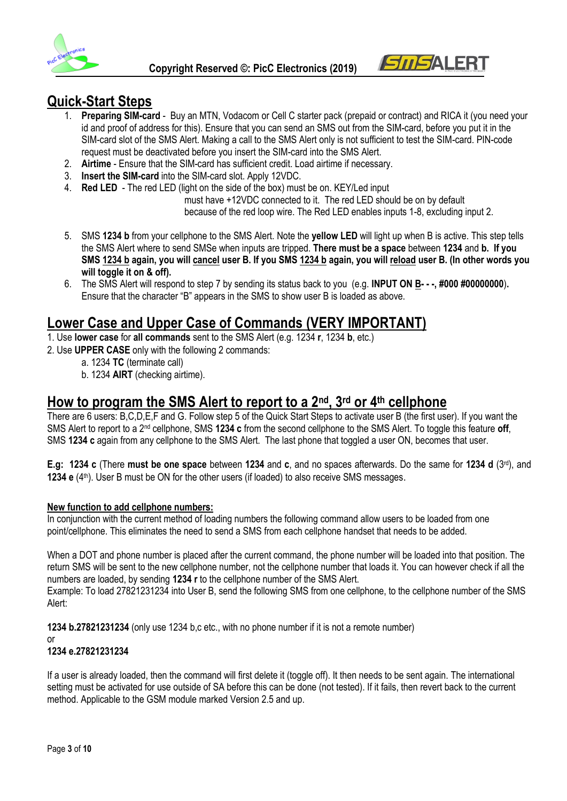



## **Quick-Start Steps**

- 1. **Preparing SIM-card** Buy an MTN, Vodacom or Cell C starter pack (prepaid or contract) and RICA it (you need your id and proof of address for this). Ensure that you can send an SMS out from the SIM-card, before you put it in the SIM-card slot of the SMS Alert. Making a call to the SMS Alert only is not sufficient to test the SIM-card. PIN-code request must be deactivated before you insert the SIM-card into the SMS Alert.
- 2. **Airtime** Ensure that the SIM-card has sufficient credit. Load airtime if necessary.
- 3. **Insert the SIM-card** into the SIM-card slot. Apply 12VDC.
- 4. **Red LED** The red LED (light on the side of the box) must be on. KEY/Led input

 must have +12VDC connected to it. The red LED should be on by default because of the red loop wire. The Red LED enables inputs 1-8, excluding input 2.

- 5. SMS **1234 b** from your cellphone to the SMS Alert. Note the **yellow LED** will light up when B is active. This step tells the SMS Alert where to send SMSe when inputs are tripped. **There must be a space** between **1234** and **b. If you SMS 1234 b again, you will cancel user B. If you SMS 1234 b again, you will reload user B. (In other words you will toggle it on & off).**
- 6. The SMS Alert will respond to step 7 by sending its status back to you (e.g. **INPUT ON B- - -, #000 #00000000**)**.**  Ensure that the character "B" appears in the SMS to show user B is loaded as above.

## **Lower Case and Upper Case of Commands (VERY IMPORTANT)**

- 1. Use **lower case** for **all commands** sent to the SMS Alert (e.g. 1234 **r**, 1234 **b**, etc.)
- 2. Use **UPPER CASE** only with the following 2 commands:
	- a. 1234 **TC** (terminate call)
	- b. 1234 **AIRT** (checking airtime).

# **How to program the SMS Alert to report to a 2nd, 3rd or 4th cellphone**

There are 6 users: B,C,D,E,F and G. Follow step 5 of the Quick Start Steps to activate user B (the first user). If you want the SMS Alert to report to a 2nd cellphone, SMS **1234 c** from the second cellphone to the SMS Alert. To toggle this feature **off**, SMS **1234 c** again from any cellphone to the SMS Alert. The last phone that toggled a user ON, becomes that user.

**E.g: 1234 c** (There **must be one space** between **1234** and **c**, and no spaces afterwards. Do the same for **1234 d** (3rd), and **1234 e** (4<sup>th</sup>). User B must be ON for the other users (if loaded) to also receive SMS messages.

#### **New function to add cellphone numbers:**

In conjunction with the current method of loading numbers the following command allow users to be loaded from one point/cellphone. This eliminates the need to send a SMS from each cellphone handset that needs to be added.

When a DOT and phone number is placed after the current command, the phone number will be loaded into that position. The return SMS will be sent to the new cellphone number, not the cellphone number that loads it. You can however check if all the numbers are loaded, by sending **1234 r** to the cellphone number of the SMS Alert.

Example: To load 27821231234 into User B, send the following SMS from one cellphone, to the cellphone number of the SMS Alert:

**1234 b.27821231234** (only use 1234 b,c etc., with no phone number if it is not a remote number)

or

#### **1234 e.27821231234**

If a user is already loaded, then the command will first delete it (toggle off). It then needs to be sent again. The international setting must be activated for use outside of SA before this can be done (not tested). If it fails, then revert back to the current method. Applicable to the GSM module marked Version 2.5 and up.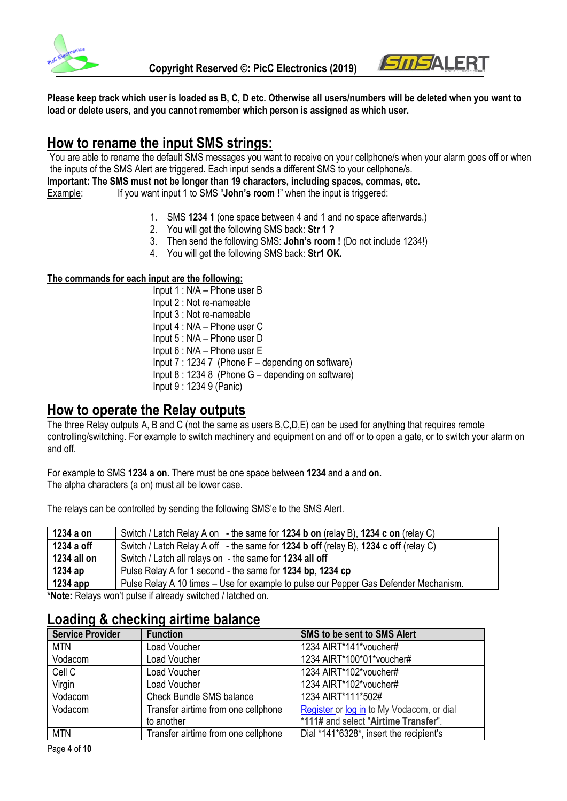



**Please keep track which user is loaded as B, C, D etc. Otherwise all users/numbers will be deleted when you want to load or delete users, and you cannot remember which person is assigned as which user.**

## **How to rename the input SMS strings:**

You are able to rename the default SMS messages you want to receive on your cellphone/s when your alarm goes off or when the inputs of the SMS Alert are triggered. Each input sends a different SMS to your cellphone/s.

**Important: The SMS must not be longer than 19 characters, including spaces, commas, etc.**

Example: If you want input 1 to SMS "John's room !" when the input is triggered:

- 1. SMS **1234 1** (one space between 4 and 1 and no space afterwards.)
- 2. You will get the following SMS back: **Str 1 ?**
- 3. Then send the following SMS: **John's room !** (Do not include 1234!)
- 4. You will get the following SMS back: **Str1 OK.**

#### **The commands for each input are the following:**

Input 1 : N/A – Phone user B Input 2 : Not re-nameable Input 3 : Not re-nameable Input 4 : N/A – Phone user C Input 5 : N/A – Phone user D Input 6 : N/A – Phone user E Input 7 : 1234 7 (Phone F – depending on software) Input 8 : 1234 8 (Phone G – depending on software) Input 9 : 1234 9 (Panic)

### **How to operate the Relay outputs**

The three Relay outputs A, B and C (not the same as users B,C,D,E) can be used for anything that requires remote controlling/switching. For example to switch machinery and equipment on and off or to open a gate, or to switch your alarm on and off.

For example to SMS **1234 a on.** There must be one space between **1234** and **a** and **on.** The alpha characters (a on) must all be lower case.

**1234 a on** Switch / Latch Relay A on - the same for **1234 b on** (relay B), **1234 c on** (relay C) **1234 a off** Switch / Latch Relay A off - the same for **1234 b off** (relay B), **1234 c off** (relay C) **1234 all on** Switch / Latch all relays on - the same for **1234 all off 1234 ap** Pulse Relay A for 1 second - the same for **1234 bp**, **1234 cp** 

The relays can be controlled by sending the following SMS'e to the SMS Alert.

**1234 app** Pulse Relay A 10 times – Use for example to pulse our Pepper Gas Defender Mechanism. **\*Note:** Relays won't pulse if already switched / latched on.

## **Loading & checking airtime balance**

| <b>Service Provider</b> | <b>Function</b>                     | SMS to be sent to SMS Alert               |
|-------------------------|-------------------------------------|-------------------------------------------|
| <b>MTN</b>              | Load Voucher                        | 1234 AIRT*141*voucher#                    |
| Vodacom                 | Load Voucher                        | 1234 AIRT*100*01*voucher#                 |
| Cell C                  | Load Voucher                        | 1234 AIRT*102*voucher#                    |
| Virgin                  | Load Voucher                        | 1234 AIRT*102*voucher#                    |
| Vodacom                 | <b>Check Bundle SMS balance</b>     | 1234 AIRT*111*502#                        |
| Vodacom                 | Transfer airtime from one cellphone | Register or log in to My Vodacom, or dial |
|                         | to another                          | *111# and select "Airtime Transfer".      |
| <b>MTN</b>              | Transfer airtime from one cellphone | Dial *141*6328*, insert the recipient's   |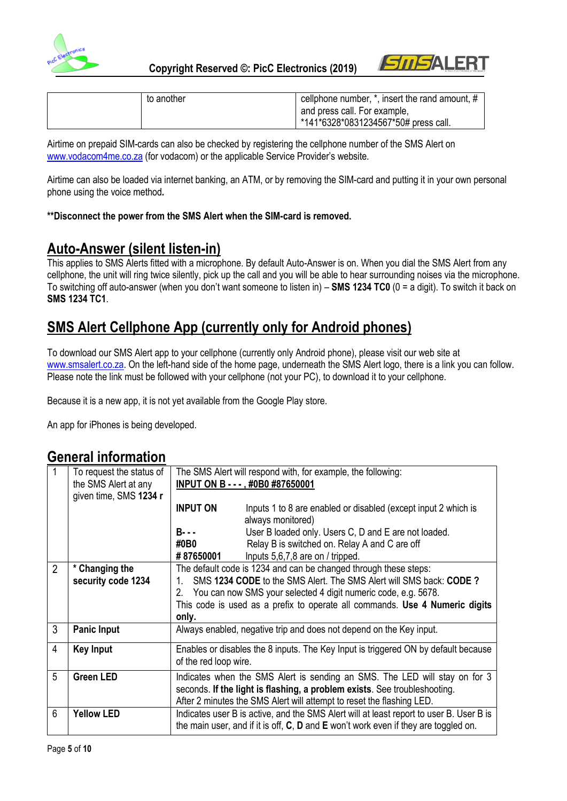



| to another | cellphone number, *, insert the rand amount, # |
|------------|------------------------------------------------|
|            | and press call. For example,                   |
|            | *141*6328*0831234567*50# press call.           |

Airtime on prepaid SIM-cards can also be checked by registering the cellphone number of the SMS Alert on [www.vodacom4me.co.za](http://www.vodacom4me.co.za/) (for vodacom) or the applicable Service Provider's website.

Airtime can also be loaded via internet banking, an ATM, or by removing the SIM-card and putting it in your own personal phone using the voice method**.** 

#### **\*\*Disconnect the power from the SMS Alert when the SIM-card is removed.**

## **Auto-Answer (silent listen-in)**

This applies to SMS Alerts fitted with a microphone. By default Auto-Answer is on. When you dial the SMS Alert from any cellphone, the unit will ring twice silently, pick up the call and you will be able to hear surrounding noises via the microphone. To switching off auto-answer (when you don't want someone to listen in) – **SMS 1234 TC0** (0 = a digit). To switch it back on **SMS 1234 TC1**.

# **SMS Alert Cellphone App (currently only for Android phones)**

To download our SMS Alert app to your cellphone (currently only Android phone), please visit our web site at [www.smsalert.co.za.](http://www.smsalert.co.za/) On the left-hand side of the home page, underneath the SMS Alert logo, there is a link you can follow. Please note the link must be followed with your cellphone (not your PC), to download it to your cellphone.

Because it is a new app, it is not yet available from the Google Play store.

An app for iPhones is being developed.

### **General information**

|                | To request the status of |                                                                                    |                                                                                            |
|----------------|--------------------------|------------------------------------------------------------------------------------|--------------------------------------------------------------------------------------------|
|                |                          | The SMS Alert will respond with, for example, the following:                       |                                                                                            |
|                | the SMS Alert at any     | INPUT ON B - - - , #0B0 #87650001                                                  |                                                                                            |
|                | given time, SMS 1234 r   |                                                                                    |                                                                                            |
|                |                          | <b>INPUT ON</b>                                                                    | Inputs 1 to 8 are enabled or disabled (except input 2 which is                             |
|                |                          |                                                                                    | always monitored)                                                                          |
|                |                          | $B - -$                                                                            | User B loaded only. Users C, D and E are not loaded.                                       |
|                |                          | #0B0                                                                               | Relay B is switched on. Relay A and C are off                                              |
|                |                          | #87650001                                                                          | Inputs 5,6,7,8 are on / tripped.                                                           |
| $\overline{2}$ | * Changing the           | The default code is 1234 and can be changed through these steps:                   |                                                                                            |
|                | security code 1234       | 1.                                                                                 | SMS 1234 CODE to the SMS Alert. The SMS Alert will SMS back: CODE?                         |
|                |                          | 2.                                                                                 | You can now SMS your selected 4 digit numeric code, e.g. 5678.                             |
|                |                          |                                                                                    | This code is used as a prefix to operate all commands. Use 4 Numeric digits                |
|                |                          |                                                                                    |                                                                                            |
|                |                          | only.                                                                              |                                                                                            |
| 3              | <b>Panic Input</b>       |                                                                                    | Always enabled, negative trip and does not depend on the Key input.                        |
| 4              | <b>Key Input</b>         | Enables or disables the 8 inputs. The Key Input is triggered ON by default because |                                                                                            |
|                |                          | of the red loop wire.                                                              |                                                                                            |
| 5              | <b>Green LED</b>         | Indicates when the SMS Alert is sending an SMS. The LED will stay on for 3         |                                                                                            |
|                |                          |                                                                                    | seconds. If the light is flashing, a problem exists. See troubleshooting.                  |
|                |                          |                                                                                    | After 2 minutes the SMS Alert will attempt to reset the flashing LED.                      |
| 6              | <b>Yellow LED</b>        |                                                                                    |                                                                                            |
|                |                          |                                                                                    | Indicates user B is active, and the SMS Alert will at least report to user B. User B is    |
|                |                          |                                                                                    | the main user, and if it is off, $C$ , $D$ and $E$ won't work even if they are toggled on. |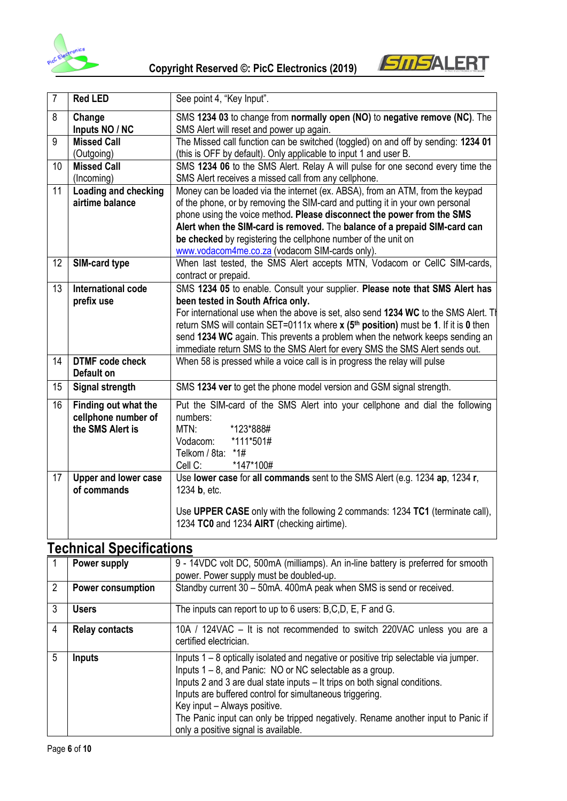



| $\overline{7}$ | <b>Red LED</b>                                                  | See point 4, "Key Input".                                                                                                                                                                                                                                                                                                                                                                                                                                                     |
|----------------|-----------------------------------------------------------------|-------------------------------------------------------------------------------------------------------------------------------------------------------------------------------------------------------------------------------------------------------------------------------------------------------------------------------------------------------------------------------------------------------------------------------------------------------------------------------|
| 8              | Change<br>Inputs NO / NC                                        | SMS 1234 03 to change from normally open (NO) to negative remove (NC). The<br>SMS Alert will reset and power up again.                                                                                                                                                                                                                                                                                                                                                        |
| 9              | <b>Missed Call</b><br>(Outgoing)                                | The Missed call function can be switched (toggled) on and off by sending: 1234 01<br>(this is OFF by default). Only applicable to input 1 and user B.                                                                                                                                                                                                                                                                                                                         |
| 10             | <b>Missed Call</b><br>(Incoming)                                | SMS 1234 06 to the SMS Alert. Relay A will pulse for one second every time the<br>SMS Alert receives a missed call from any cellphone.                                                                                                                                                                                                                                                                                                                                        |
| 11             | Loading and checking<br>airtime balance                         | Money can be loaded via the internet (ex. ABSA), from an ATM, from the keypad<br>of the phone, or by removing the SIM-card and putting it in your own personal<br>phone using the voice method. Please disconnect the power from the SMS<br>Alert when the SIM-card is removed. The balance of a prepaid SIM-card can<br>be checked by registering the cellphone number of the unit on<br>www.vodacom4me.co.za (vodacom SIM-cards only).                                      |
| 12             | SIM-card type                                                   | When last tested, the SMS Alert accepts MTN, Vodacom or CellC SIM-cards,<br>contract or prepaid.                                                                                                                                                                                                                                                                                                                                                                              |
| 13             | International code<br>prefix use                                | SMS 1234 05 to enable. Consult your supplier. Please note that SMS Alert has<br>been tested in South Africa only.<br>For international use when the above is set, also send 1234 WC to the SMS Alert. The<br>return SMS will contain SET=0111x where x (5 <sup>th</sup> position) must be 1. If it is 0 then<br>send 1234 WC again. This prevents a problem when the network keeps sending an<br>immediate return SMS to the SMS Alert for every SMS the SMS Alert sends out. |
| 14             | <b>DTMF</b> code check<br>Default on                            | When 58 is pressed while a voice call is in progress the relay will pulse                                                                                                                                                                                                                                                                                                                                                                                                     |
| 15             | <b>Signal strength</b>                                          | SMS 1234 ver to get the phone model version and GSM signal strength.                                                                                                                                                                                                                                                                                                                                                                                                          |
| 16             | Finding out what the<br>cellphone number of<br>the SMS Alert is | Put the SIM-card of the SMS Alert into your cellphone and dial the following<br>numbers:<br>*123*888#<br>MTN:<br>*111*501#<br>Vodacom:<br>Telkom / 8ta:<br>*1#<br>*147*100#<br>Cell C:                                                                                                                                                                                                                                                                                        |
| 17             | Upper and lower case<br>of commands                             | Use lower case for all commands sent to the SMS Alert (e.g. 1234 ap, 1234 r,<br>1234 <b>b</b> , etc.<br>Use UPPER CASE only with the following 2 commands: 1234 TC1 (terminate call),<br>1234 TC0 and 1234 AIRT (checking airtime).                                                                                                                                                                                                                                           |

# **Technical Specifications**

|                | Power supply             | 9 - 14VDC volt DC, 500mA (milliamps). An in-line battery is preferred for smooth<br>power. Power supply must be doubled-up.                                                                                                                                                                                                                                                                                                                            |
|----------------|--------------------------|--------------------------------------------------------------------------------------------------------------------------------------------------------------------------------------------------------------------------------------------------------------------------------------------------------------------------------------------------------------------------------------------------------------------------------------------------------|
| $\mathfrak{p}$ | <b>Power consumption</b> | Standby current 30 - 50mA. 400mA peak when SMS is send or received.                                                                                                                                                                                                                                                                                                                                                                                    |
| 3              | <b>Users</b>             | The inputs can report to up to 6 users: B,C,D, E, F and G.                                                                                                                                                                                                                                                                                                                                                                                             |
| 4              | <b>Relay contacts</b>    | 10A / 124VAC - It is not recommended to switch 220VAC unless you are a<br>certified electrician.                                                                                                                                                                                                                                                                                                                                                       |
| 5              | Inputs                   | Inputs 1 – 8 optically isolated and negative or positive trip selectable via jumper.<br>Inputs 1 – 8, and Panic: NO or NC selectable as a group.<br>Inputs 2 and 3 are dual state inputs – It trips on both signal conditions.<br>Inputs are buffered control for simultaneous triggering.<br>Key input - Always positive.<br>The Panic input can only be tripped negatively. Rename another input to Panic if<br>only a positive signal is available. |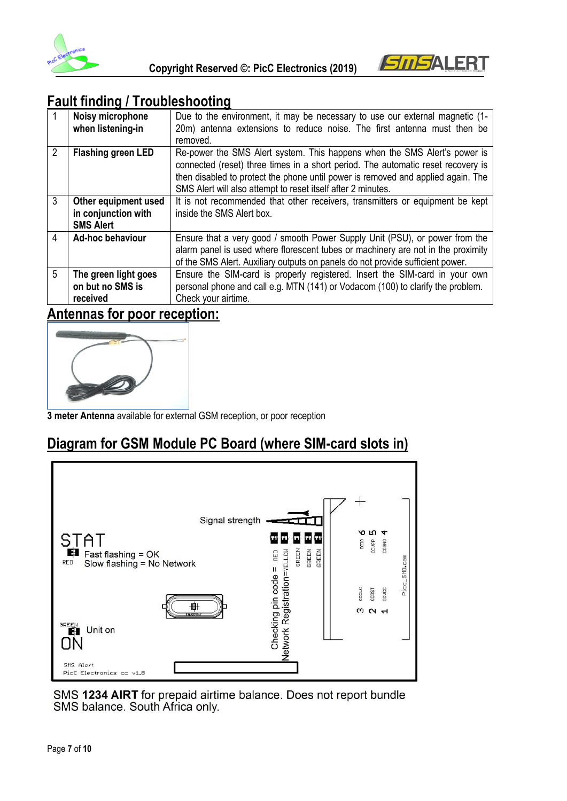



# **Fault finding / Troubleshooting**

| $\vert$ 1      | Noisy microphone<br>when listening-in                           | Due to the environment, it may be necessary to use our external magnetic (1-<br>20m) antenna extensions to reduce noise. The first antenna must then be                                                                                                                                                           |
|----------------|-----------------------------------------------------------------|-------------------------------------------------------------------------------------------------------------------------------------------------------------------------------------------------------------------------------------------------------------------------------------------------------------------|
|                |                                                                 | removed.                                                                                                                                                                                                                                                                                                          |
| $\overline{2}$ | <b>Flashing green LED</b>                                       | Re-power the SMS Alert system. This happens when the SMS Alert's power is<br>connected (reset) three times in a short period. The automatic reset recovery is<br>then disabled to protect the phone until power is removed and applied again. The<br>SMS Alert will also attempt to reset itself after 2 minutes. |
| $\mathfrak{Z}$ | Other equipment used<br>in conjunction with<br><b>SMS Alert</b> | It is not recommended that other receivers, transmitters or equipment be kept<br>inside the SMS Alert box.                                                                                                                                                                                                        |
| $\overline{4}$ | Ad-hoc behaviour                                                | Ensure that a very good / smooth Power Supply Unit (PSU), or power from the<br>alarm panel is used where florescent tubes or machinery are not in the proximity<br>of the SMS Alert. Auxiliary outputs on panels do not provide sufficient power.                                                                 |
| 5              | The green light goes<br>on but no SMS is<br>received            | Ensure the SIM-card is properly registered. Insert the SIM-card in your own<br>personal phone and call e.g. MTN (141) or Vodacom (100) to clarify the problem.<br>Check your airtime.                                                                                                                             |

## **Antennas for poor reception:**



**3 meter Antenna** available for external GSM reception, or poor reception

# **Diagram for GSM Module PC Board (where SIM-card slots in)**



SMS 1234 AIRT for prepaid airtime balance. Does not report bundle SMS balance. South Africa only.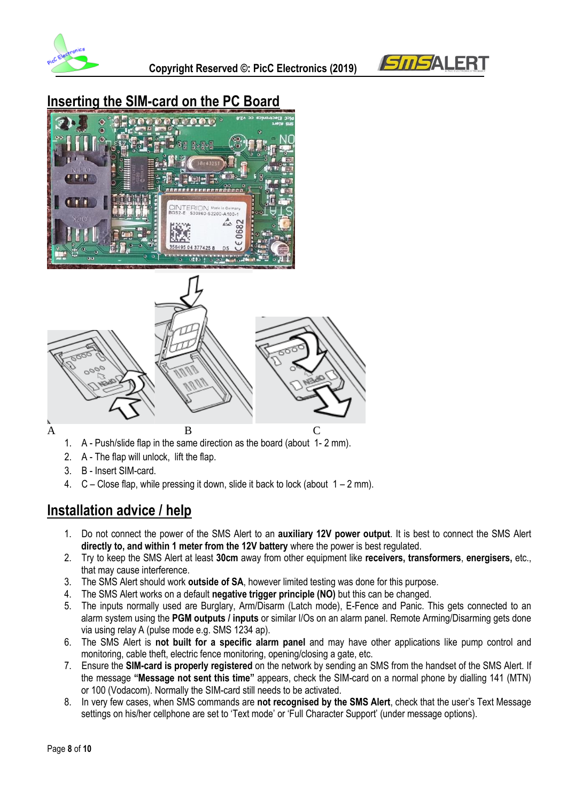



# **Inserting the SIM-card on the PC Board**





- 1. A Push/slide flap in the same direction as the board (about 1- 2 mm).
- 2. A The flap will unlock, lift the flap.
- 3. B Insert SIM-card.
- 4.  $C -$  Close flap, while pressing it down, slide it back to lock (about  $1 2$  mm).

## **Installation advice / help**

- 1. Do not connect the power of the SMS Alert to an **auxiliary 12V power output**. It is best to connect the SMS Alert **directly to, and within 1 meter from the 12V battery** where the power is best regulated.
- 2. Try to keep the SMS Alert at least **30cm** away from other equipment like **receivers, transformers**, **energisers,** etc., that may cause interference.
- 3. The SMS Alert should work **outside of SA**, however limited testing was done for this purpose.
- 4. The SMS Alert works on a default **negative trigger principle (NO)** but this can be changed.
- 5. The inputs normally used are Burglary, Arm/Disarm (Latch mode), E-Fence and Panic. This gets connected to an alarm system using the **PGM outputs / inputs** or similar I/Os on an alarm panel. Remote Arming/Disarming gets done via using relay A (pulse mode e.g. SMS 1234 ap).
- 6. The SMS Alert is **not built for a specific alarm panel** and may have other applications like pump control and monitoring, cable theft, electric fence monitoring, opening/closing a gate, etc.
- 7. Ensure the **SIM-card is properly registered** on the network by sending an SMS from the handset of the SMS Alert. If the message **"Message not sent this time"** appears, check the SIM-card on a normal phone by dialling 141 (MTN) or 100 (Vodacom). Normally the SIM-card still needs to be activated.
- 8. In very few cases, when SMS commands are **not recognised by the SMS Alert**, check that the user's Text Message settings on his/her cellphone are set to 'Text mode' or 'Full Character Support' (under message options).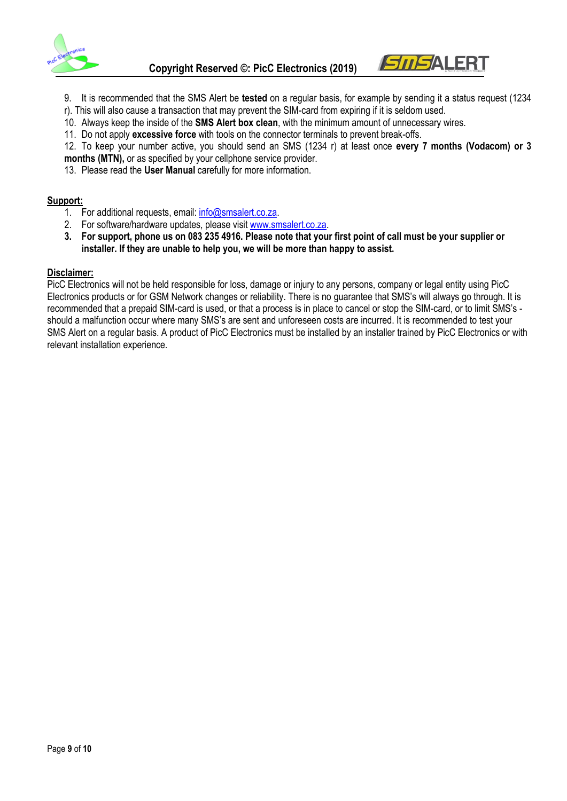

9. It is recommended that the SMS Alert be **tested** on a regular basis, for example by sending it a status request (1234

*SMSALER* 

- r). This will also cause a transaction that may prevent the SIM-card from expiring if it is seldom used.
- 10. Always keep the inside of the **SMS Alert box clean**, with the minimum amount of unnecessary wires.
- 11. Do not apply **excessive force** with tools on the connector terminals to prevent break-offs.

12. To keep your number active, you should send an SMS (1234 r) at least once **every 7 months (Vodacom) or 3 months (MTN),** or as specified by your cellphone service provider.

13. Please read the **User Manual** carefully for more information.

#### **Support:**

- 1. For additional requests, email: [info@smsalert.co.za.](mailto:info@smsalert.co.za)
- 2. For software/hardware updates, please visi[t www.smsalert.co.za.](http://www.smsalert.co.za/)
- **3. For support, phone us on 083 235 4916. Please note that your first point of call must be your supplier or installer. If they are unable to help you, we will be more than happy to assist.**

#### **Disclaimer:**

PicC Electronics will not be held responsible for loss, damage or injury to any persons, company or legal entity using PicC Electronics products or for GSM Network changes or reliability. There is no guarantee that SMS's will always go through. It is recommended that a prepaid SIM-card is used, or that a process is in place to cancel or stop the SIM-card, or to limit SMS's should a malfunction occur where many SMS's are sent and unforeseen costs are incurred. It is recommended to test your SMS Alert on a regular basis. A product of PicC Electronics must be installed by an installer trained by PicC Electronics or with relevant installation experience.